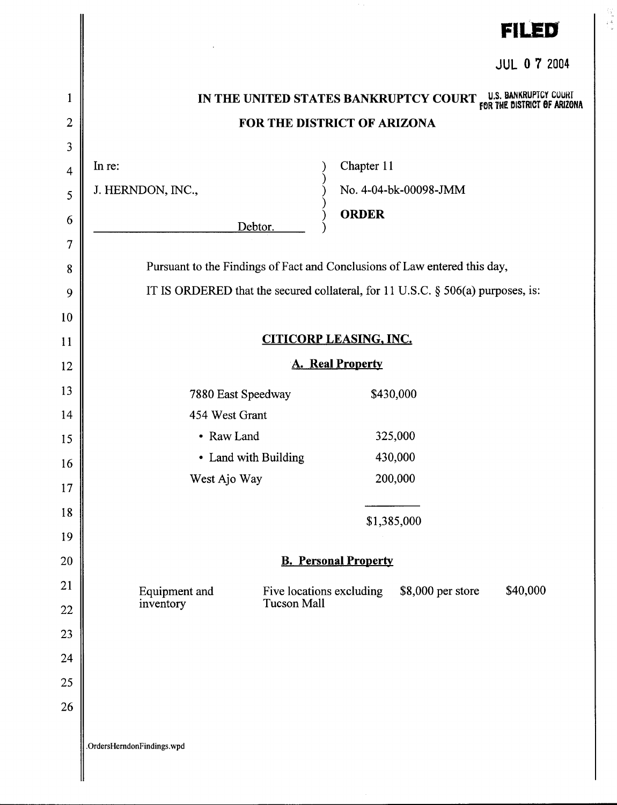|                                    | <b>FILED</b>                                                                                                                                                    |  |  |
|------------------------------------|-----------------------------------------------------------------------------------------------------------------------------------------------------------------|--|--|
|                                    | <b>JUL 0 7 2004</b>                                                                                                                                             |  |  |
| $\mathbf{1}$<br>$\overline{2}$     | IN THE UNITED STATES BANKRUPTCY COURT <sub>FOR THE</sub> DISTRICT OF ARIZONA<br>FOR THE DISTRICT OF ARIZONA                                                     |  |  |
| 3<br>$\overline{4}$<br>5<br>6<br>7 | Chapter 11<br>In re:<br>No. 4-04-bk-00098-JMM<br>J. HERNDON, INC.,<br><b>ORDER</b><br>Debtor.                                                                   |  |  |
| 8<br>9<br>10                       | Pursuant to the Findings of Fact and Conclusions of Law entered this day,<br>IT IS ORDERED that the secured collateral, for 11 U.S.C. $\S$ 506(a) purposes, is: |  |  |
| 11                                 | <b>CITICORP LEASING, INC.</b>                                                                                                                                   |  |  |
| 12                                 | <b>A. Real Property</b>                                                                                                                                         |  |  |
| 13<br>14<br>15<br>16<br>17         | 7880 East Speedway<br>\$430,000<br>454 West Grant<br>• Raw Land<br>325,000<br>430,000<br>• Land with Building<br>200,000<br>West Ajo Way                        |  |  |
| 18<br>19                           | \$1,385,000                                                                                                                                                     |  |  |
| 20                                 | <b>B.</b> Personal Property                                                                                                                                     |  |  |
| 21<br>22<br>23<br>24<br>25<br>26   | \$40,000<br>\$8,000 per store<br>Five locations excluding<br>Equipment and<br>Tucson Mall<br>inventory                                                          |  |  |
|                                    | .OrdersHerndonFindings.wpd                                                                                                                                      |  |  |

 $\begin{array}{c} \xi_{12}^{(1)} \\ \xi_{23}^{(2)} \\ \xi_{34}^{(3)} \end{array}$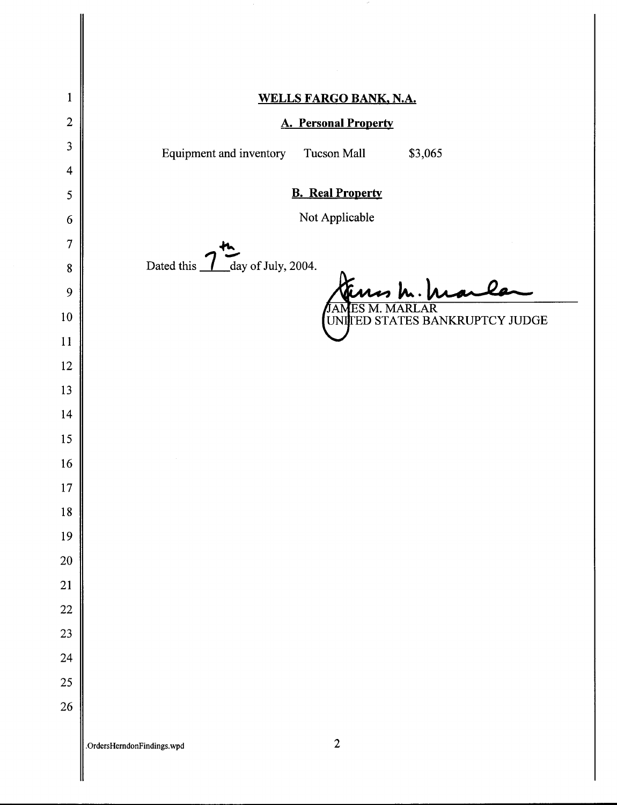|                         | $\sim$                                                |
|-------------------------|-------------------------------------------------------|
| $\mathbf{1}$            | WELLS FARGO BANK, N.A.                                |
| $\overline{2}$          | <b>A. Personal Property</b>                           |
| $\overline{\mathbf{3}}$ |                                                       |
| $\overline{\mathbf{4}}$ | Equipment and inventory<br>\$3,065<br>Tucson Mall     |
| $\mathfrak{S}$          | <b>B.</b> Real Property                               |
| 6                       | Not Applicable                                        |
| $\overline{7}$          |                                                       |
| ${\bf 8}$               | day of July, 2004.<br>Dated this _                    |
| 9                       |                                                       |
| $10\,$                  | $\overline{\rm AR}$<br>UNITED STATES BANKRUPTCY JUDGE |
| 11                      |                                                       |
| 12                      |                                                       |
| 13                      |                                                       |
| 14                      |                                                       |
| 15                      |                                                       |
| 16                      |                                                       |
| $17$                    |                                                       |
| $18\,$                  |                                                       |
| 19                      |                                                       |
| 20                      |                                                       |
| 21                      |                                                       |
| 22                      |                                                       |
| 23                      |                                                       |
| 24                      |                                                       |
| 25                      |                                                       |
| 26                      |                                                       |
|                         | $\overline{2}$<br>.OrdersHerndonFindings.wpd          |

 $\blacksquare$